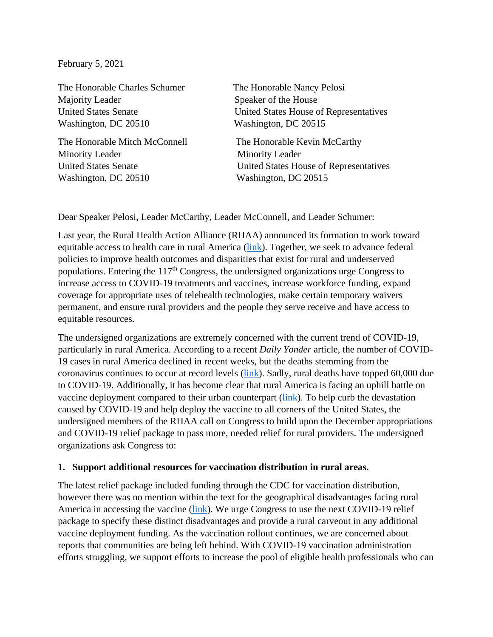February 5, 2021

The Honorable Charles Schumer The Honorable Nancy Pelosi Majority Leader Speaker of the House Washington, DC 20510 Washington, DC 20515

The Honorable Mitch McConnell The Honorable Kevin McCarthy Minority Leader Minority Leader Washington, DC 20510 Washington, DC 20515

United States Senate United States House of Representatives

United States Senate United States House of Representatives

Dear Speaker Pelosi, Leader McCarthy, Leader McConnell, and Leader Schumer:

Last year, the Rural Health Action Alliance (RHAA) announced its formation to work toward equitable access to health care in rural America [\(link\)](mailto:https://www.ruralhealthweb.org/blogs/ruralhealthvoices/november-2020/nation%E2%80%99s-leading-rural-health-orgs-unite). Together, we seek to advance federal policies to improve health outcomes and disparities that exist for rural and underserved populations. Entering the  $117<sup>th</sup>$  Congress, the undersigned organizations urge Congress to increase access to COVID-19 treatments and vaccines, increase workforce funding, expand coverage for appropriate uses of telehealth technologies, make certain temporary waivers permanent, and ensure rural providers and the people they serve receive and have access to equitable resources.

The undersigned organizations are extremely concerned with the current trend of COVID-19, particularly in rural America. According to a recent *Daily Yonder* article, the number of COVID-19 cases in rural America declined in recent weeks, but the deaths stemming from the coronavirus continues to occur at record levels [\(link\)](https://dailyyonder.com/rural-death-toll-passes-60000-new-infections-decline/2021/01/19/). Sadly, rural deaths have topped 60,000 due to COVID-19. Additionally, it has become clear that rural America is facing an uphill battle on vaccine deployment compared to their urban counterpart [\(link\)](https://dailyyonder.com/rural-vaccine-access-varies-widely-sources-say/2021/01/19/). To help curb the devastation caused by COVID-19 and help deploy the vaccine to all corners of the United States, the undersigned members of the RHAA call on Congress to build upon the December appropriations and COVID-19 relief package to pass more, needed relief for rural providers. The undersigned organizations ask Congress to:

#### **1. Support additional resources for vaccination distribution in rural areas.**

The latest relief package included funding through the CDC for vaccination distribution, however there was no mention within the text for the geographical disadvantages facing rural America in accessing the vaccine [\(link\)](https://dailyyonder.com/why-getting-covid-19-vaccines-to-rural-americans-is-harder-than-it-looks-and-how-to-lift-the-barriers/2021/01/04/). We urge Congress to use the next COVID-19 relief package to specify these distinct disadvantages and provide a rural carveout in any additional vaccine deployment funding. As the vaccination rollout continues, we are concerned about reports that communities are being left behind. With COVID-19 vaccination administration efforts struggling, we support efforts to increase the pool of eligible health professionals who can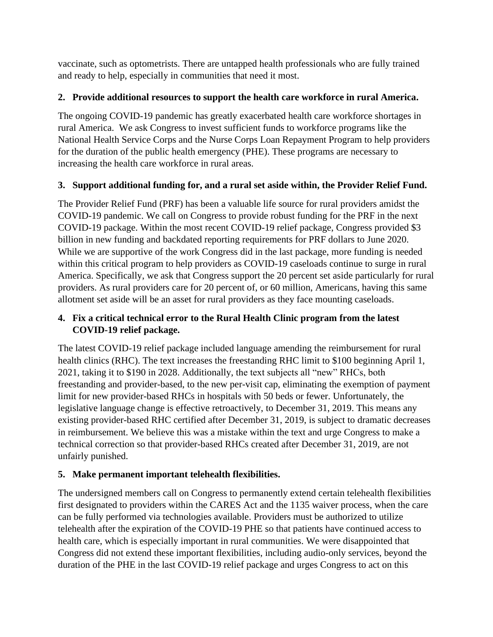vaccinate, such as optometrists. There are untapped health professionals who are fully trained and ready to help, especially in communities that need it most.

## **2. Provide additional resources to support the health care workforce in rural America.**

The ongoing COVID-19 pandemic has greatly exacerbated health care workforce shortages in rural America. We ask Congress to invest sufficient funds to workforce programs like the National Health Service Corps and the Nurse Corps Loan Repayment Program to help providers for the duration of the public health emergency (PHE). These programs are necessary to increasing the health care workforce in rural areas.

## **3. Support additional funding for, and a rural set aside within, the Provider Relief Fund.**

The Provider Relief Fund (PRF) has been a valuable life source for rural providers amidst the COVID-19 pandemic. We call on Congress to provide robust funding for the PRF in the next COVID-19 package. Within the most recent COVID-19 relief package, Congress provided \$3 billion in new funding and backdated reporting requirements for PRF dollars to June 2020. While we are supportive of the work Congress did in the last package, more funding is needed within this critical program to help providers as COVID-19 caseloads continue to surge in rural America. Specifically, we ask that Congress support the 20 percent set aside particularly for rural providers. As rural providers care for 20 percent of, or 60 million, Americans, having this same allotment set aside will be an asset for rural providers as they face mounting caseloads.

## **4. Fix a critical technical error to the Rural Health Clinic program from the latest COVID-19 relief package.**

The latest COVID-19 relief package included language amending the reimbursement for rural health clinics (RHC). The text increases the freestanding RHC limit to \$100 beginning April 1, 2021, taking it to \$190 in 2028. Additionally, the text subjects all "new" RHCs, both freestanding and provider-based, to the new per-visit cap, eliminating the exemption of payment limit for new provider-based RHCs in hospitals with 50 beds or fewer. Unfortunately, the legislative language change is effective retroactively, to December 31, 2019. This means any existing provider-based RHC certified after December 31, 2019, is subject to dramatic decreases in reimbursement. We believe this was a mistake within the text and urge Congress to make a technical correction so that provider-based RHCs created after December 31, 2019, are not unfairly punished.

# **5. Make permanent important telehealth flexibilities.**

The undersigned members call on Congress to permanently extend certain telehealth flexibilities first designated to providers within the CARES Act and the 1135 waiver process, when the care can be fully performed via technologies available. Providers must be authorized to utilize telehealth after the expiration of the COVID-19 PHE so that patients have continued access to health care, which is especially important in rural communities. We were disappointed that Congress did not extend these important flexibilities, including audio-only services, beyond the duration of the PHE in the last COVID-19 relief package and urges Congress to act on this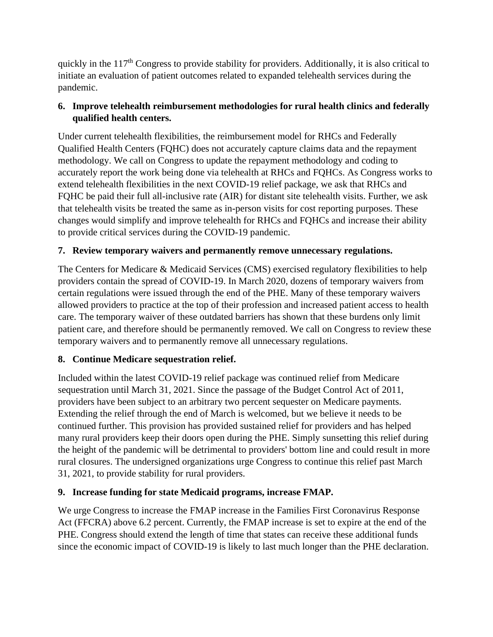quickly in the 117<sup>th</sup> Congress to provide stability for providers. Additionally, it is also critical to initiate an evaluation of patient outcomes related to expanded telehealth services during the pandemic.

## **6. Improve telehealth reimbursement methodologies for rural health clinics and federally qualified health centers.**

Under current telehealth flexibilities, the reimbursement model for RHCs and Federally Qualified Health Centers (FQHC) does not accurately capture claims data and the repayment methodology. We call on Congress to update the repayment methodology and coding to accurately report the work being done via telehealth at RHCs and FQHCs. As Congress works to extend telehealth flexibilities in the next COVID-19 relief package, we ask that RHCs and FQHC be paid their full all-inclusive rate (AIR) for distant site telehealth visits. Further, we ask that telehealth visits be treated the same as in-person visits for cost reporting purposes. These changes would simplify and improve telehealth for RHCs and FQHCs and increase their ability to provide critical services during the COVID-19 pandemic.

### **7. Review temporary waivers and permanently remove unnecessary regulations.**

The Centers for Medicare & Medicaid Services (CMS) exercised regulatory flexibilities to help providers contain the spread of COVID-19. In March 2020, dozens of temporary waivers from certain regulations were issued through the end of the PHE. Many of these temporary waivers allowed providers to practice at the top of their profession and increased patient access to health care. The temporary waiver of these outdated barriers has shown that these burdens only limit patient care, and therefore should be permanently removed. We call on Congress to review these temporary waivers and to permanently remove all unnecessary regulations.

### **8. Continue Medicare sequestration relief.**

Included within the latest COVID-19 relief package was continued relief from Medicare sequestration until March 31, 2021. Since the passage of the Budget Control Act of 2011, providers have been subject to an arbitrary two percent sequester on Medicare payments. Extending the relief through the end of March is welcomed, but we believe it needs to be continued further. This provision has provided sustained relief for providers and has helped many rural providers keep their doors open during the PHE. Simply sunsetting this relief during the height of the pandemic will be detrimental to providers' bottom line and could result in more rural closures. The undersigned organizations urge Congress to continue this relief past March 31, 2021, to provide stability for rural providers.

### **9. Increase funding for state Medicaid programs, increase FMAP.**

We urge Congress to increase the FMAP increase in the Families First Coronavirus Response Act (FFCRA) above 6.2 percent. Currently, the FMAP increase is set to expire at the end of the PHE. Congress should extend the length of time that states can receive these additional funds since the economic impact of COVID-19 is likely to last much longer than the PHE declaration.